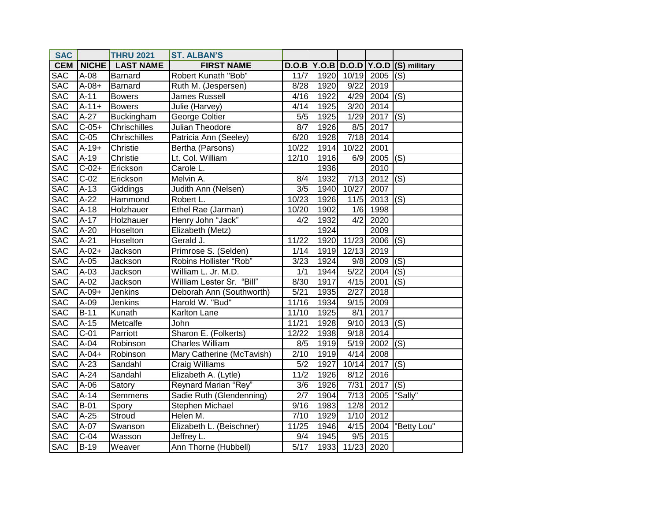| <b>SAC</b> |                    | <b>THRU 2021</b> | <b>ST. ALBAN'S</b>        |                  |      |                   |            |                                  |
|------------|--------------------|------------------|---------------------------|------------------|------|-------------------|------------|----------------------------------|
| <b>CEM</b> | NICHE              | <b>LAST NAME</b> | <b>FIRST NAME</b>         | D.O.B            |      |                   |            | Y.O.B $D.O.D$ Y.O.D (S) military |
| <b>SAC</b> | A-08               | Barnard          | Robert Kunath "Bob"       | 11/7             | 1920 | 10/19             | 2005       | (S)                              |
| <b>SAC</b> | $A-08+$            | Barnard          | Ruth M. (Jespersen)       | 8/28             | 1920 | 9/22              | 2019       |                                  |
| <b>SAC</b> | $A-11$             | <b>Bowers</b>    | <b>James Russell</b>      | 4/16             | 1922 | 4/29              | 2004       | (S)                              |
| <b>SAC</b> | $A-11+$            | <b>Bowers</b>    | Julie (Harvey)            | 4/14             | 1925 | 3/20              | 2014       |                                  |
| <b>SAC</b> | $A-27$             | Buckingham       | George Coltier            | 5/5              | 1925 | 1/29              | 2017       | (S)                              |
| <b>SAC</b> | $C-05+$            | Chrischilles     | <b>Julian Theodore</b>    | 8/7              | 1926 | 8/5               | 2017       |                                  |
| <b>SAC</b> | $C-05$             | Chrischilles     | Patricia Ann (Seeley)     | 6/20             | 1928 | 7/18              | 2014       |                                  |
| <b>SAC</b> | $A-19+$            | Christie         | Bertha (Parsons)          | 10/22            | 1914 | 10/22             | 2001       |                                  |
| <b>SAC</b> | $A-19$             | Christie         | Lt. Col. William          | 12/10            | 1916 | 6/9               | 2005       | (S)                              |
| <b>SAC</b> | $C-02+$            | Erickson         | Carole L.                 |                  | 1936 |                   | 2010       |                                  |
| <b>SAC</b> | $\overline{C-0}2$  | Erickson         | Melvin A.                 | 8/4              | 1932 | 7/13              | $2012$ (S) |                                  |
| <b>SAC</b> | $A-13$             | Giddings         | Judith Ann (Nelsen)       | $\overline{3/5}$ | 1940 | 10/27             | 2007       |                                  |
| <b>SAC</b> | $A-22$             | Hammond          | Robert L.                 | 10/23            | 1926 | 11/5              | 2013       | (S)                              |
| <b>SAC</b> | $A-18$             | Holzhauer        | Ethel Rae (Jarman)        | 10/20            | 1902 | 1/6               | 1998       |                                  |
| <b>SAC</b> | $A-17$             | Holzhauer        | Henry John "Jack"         | 4/2              | 1932 | 4/2               | 2020       |                                  |
| <b>SAC</b> | $A-20$             | Hoselton         | Elizabeth (Metz)          |                  | 1924 |                   | 2009       |                                  |
| <b>SAC</b> | $A-21$             | Hoselton         | Gerald J.                 | 11/22            | 1920 | 11/23             | 2006       | $\overline{(\mathsf{S})}$        |
| <b>SAC</b> | $A-02+$            | Jackson          | Primrose S. (Selden)      | 1/14             | 1919 | 12/13             | 2019       |                                  |
| <b>SAC</b> | $A-05$             | Jackson          | Robins Hollister "Rob"    | 3/23             | 1924 | 9/8               | 2009       | (S)                              |
| <b>SAC</b> | $A-03$             | Jackson          | William L. Jr. M.D.       | 1/1              | 1944 | $\overline{5/22}$ | 2004       | (S)                              |
| <b>SAC</b> | $A-02$             | Jackson          | William Lester Sr. "Bill" | 8/30             | 1917 | 4/15              | 2001       | (S)                              |
| <b>SAC</b> | $A-09+$            | Jenkins          | Deborah Ann (Southworth)  | 5/21             | 1935 | 2/27              | 2018       |                                  |
| <b>SAC</b> | $\overline{A}$ -09 | Jenkins          | Harold W. "Bud"           | 11/16            | 1934 | 9/15              | 2009       |                                  |
| <b>SAC</b> | $B-11$             | Kunath           | Karlton Lane              | 11/10            | 1925 | 8/1               | 2017       |                                  |
| <b>SAC</b> | $A-15$             | Metcalfe         | John                      | 11/21            | 1928 | 9/10              | 2013       | $\overline{(\mathsf{S})}$        |
| <b>SAC</b> | $C-01$             | Parriott         | Sharon E. (Folkerts)      | 12/22            | 1938 | 9/18              | 2014       |                                  |
| <b>SAC</b> | $A-04$             | Robinson         | <b>Charles William</b>    | 8/5              | 1919 | 5/19              | 2002       | $\overline{(\mathsf{S})}$        |
| <b>SAC</b> | $A - 04 +$         | Robinson         | Mary Catherine (McTavish) | 2/10             | 1919 | 4/14              | 2008       |                                  |
| <b>SAC</b> | $A-23$             | Sandahl          | Craig Williams            | $\overline{5/2}$ | 1927 | 10/14             | 2017       | (S)                              |
| <b>SAC</b> | $A-24$             | Sandahl          | Elizabeth A. (Lytle)      | 11/2             | 1926 | 8/12              | 2016       |                                  |
| <b>SAC</b> | $A-06$             | Satory           | Reynard Marian "Rey"      | $\overline{3/6}$ | 1926 | 7/31              | 2017       | (S)                              |
| <b>SAC</b> | $A-14$             | Semmens          | Sadie Ruth (Glendenning)  | $\overline{2/7}$ | 1904 | 7/13              | 2005       | "Sally"                          |
| <b>SAC</b> | $B-01$             | Spory            | Stephen Michael           | 9/16             | 1983 | 12/8              | 2012       |                                  |
| <b>SAC</b> | $A-25$             | Stroud           | Helen M.                  | 7/10             | 1929 | 1/10              | 2012       |                                  |
| <b>SAC</b> | $A-07$             | Swanson          | Elizabeth L. (Beischner)  | 11/25            | 1946 | 4/15              | 2004       | "Betty Lou"                      |
| <b>SAC</b> | $C-04$             | Wasson           | Jeffrey L.                | 9/4              | 1945 | 9/5               | 2015       |                                  |
| <b>SAC</b> | $B-19$             | Weaver           | Ann Thorne (Hubbell)      | $\sqrt{5/17}$    | 1933 |                   | 11/23 2020 |                                  |